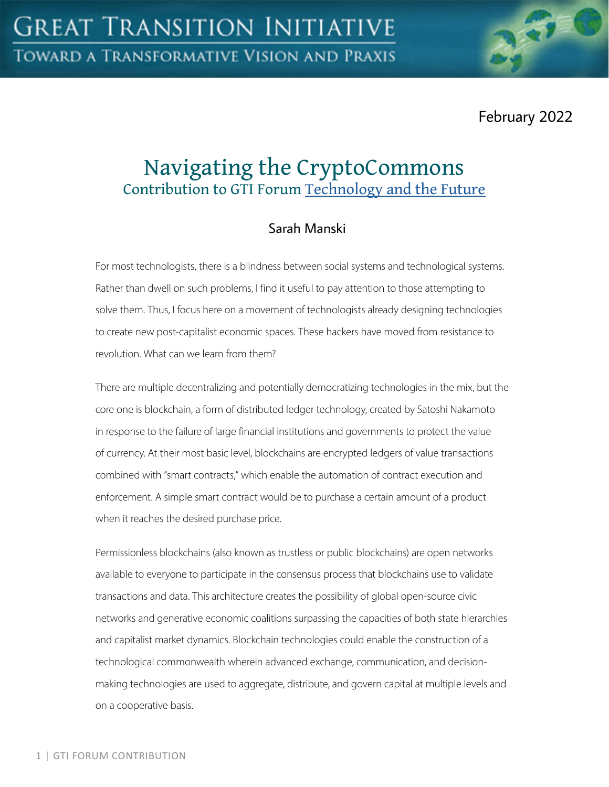February 2022

# Navigating the CryptoCommons Contribution to GTI Forum [Technology and the Future](https://greattransition.org/gti-forum/tech-and-the-future)

# Sarah Manski

For most technologists, there is a blindness between social systems and technological systems. Rather than dwell on such problems, I find it useful to pay attention to those attempting to solve them. Thus, I focus here on a movement of technologists already designing technologies to create new post-capitalist economic spaces. These hackers have moved from resistance to revolution. What can we learn from them?

There are multiple decentralizing and potentially democratizing technologies in the mix, but the core one is blockchain, a form of distributed ledger technology, created by Satoshi Nakamoto in response to the failure of large financial institutions and governments to protect the value of currency. At their most basic level, blockchains are encrypted ledgers of value transactions combined with "smart contracts," which enable the automation of contract execution and enforcement. A simple smart contract would be to purchase a certain amount of a product when it reaches the desired purchase price.

Permissionless blockchains (also known as trustless or public blockchains) are open networks available to everyone to participate in the consensus process that blockchains use to validate transactions and data. This architecture creates the possibility of global open-source civic networks and generative economic coalitions surpassing the capacities of both state hierarchies and capitalist market dynamics. Blockchain technologies could enable the construction of a technological commonwealth wherein advanced exchange, communication, and decisionmaking technologies are used to aggregate, distribute, and govern capital at multiple levels and on a cooperative basis.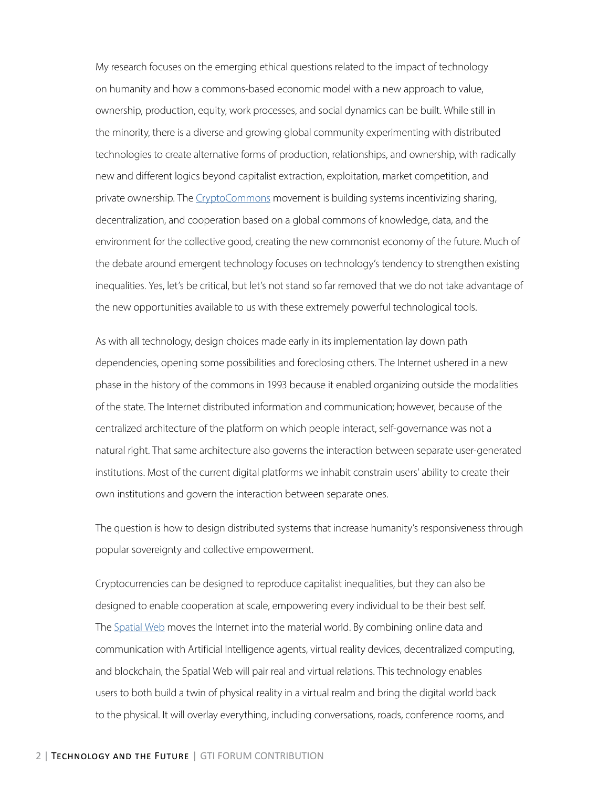My research focuses on the emerging ethical questions related to the impact of technology on humanity and how a commons-based economic model with a new approach to value, ownership, production, equity, work processes, and social dynamics can be built. While still in the minority, there is a diverse and growing global community experimenting with distributed technologies to create alternative forms of production, relationships, and ownership, with radically new and different logics beyond capitalist extraction, exploitation, market competition, and private ownership. The [CryptoCommons](https://www.shareable.net/crypto-commons-gathering-2021/) movement is building systems incentivizing sharing, decentralization, and cooperation based on a global commons of knowledge, data, and the environment for the collective good, creating the new commonist economy of the future. Much of the debate around emergent technology focuses on technology's tendency to strengthen existing inequalities. Yes, let's be critical, but let's not stand so far removed that we do not take advantage of the new opportunities available to us with these extremely powerful technological tools.

As with all technology, design choices made early in its implementation lay down path dependencies, opening some possibilities and foreclosing others. The Internet ushered in a new phase in the history of the commons in 1993 because it enabled organizing outside the modalities of the state. The Internet distributed information and communication; however, because of the centralized architecture of the platform on which people interact, self-governance was not a natural right. That same architecture also governs the interaction between separate user-generated institutions. Most of the current digital platforms we inhabit constrain users' ability to create their own institutions and govern the interaction between separate ones.

The question is how to design distributed systems that increase humanity's responsiveness through popular sovereignty and collective empowerment.

Cryptocurrencies can be designed to reproduce capitalist inequalities, but they can also be designed to enable cooperation at scale, empowering every individual to be their best self. The [Spatial Web](http://spatialwebfoundation.org/) moves the Internet into the material world. By combining online data and communication with Artificial Intelligence agents, virtual reality devices, decentralized computing, and blockchain, the Spatial Web will pair real and virtual relations. This technology enables users to both build a twin of physical reality in a virtual realm and bring the digital world back to the physical. It will overlay everything, including conversations, roads, conference rooms, and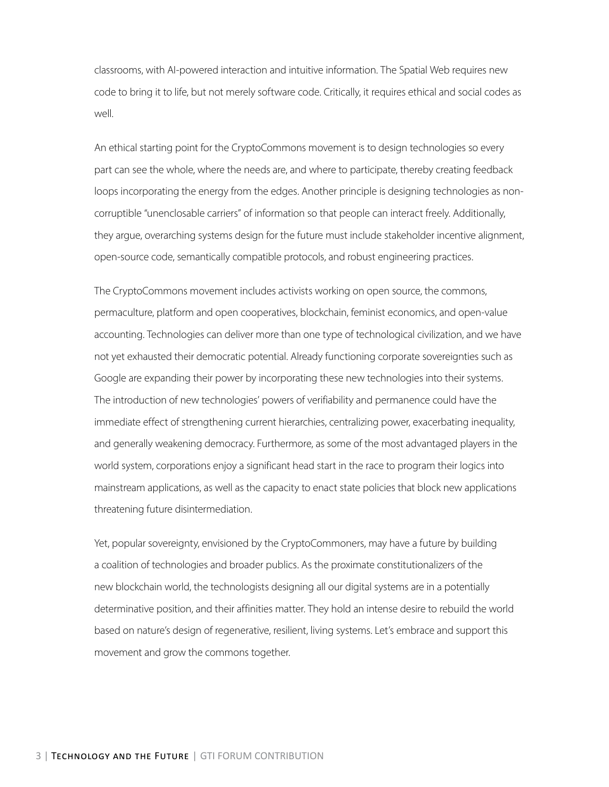classrooms, with AI-powered interaction and intuitive information. The Spatial Web requires new code to bring it to life, but not merely software code. Critically, it requires ethical and social codes as well.

An ethical starting point for the CryptoCommons movement is to design technologies so every part can see the whole, where the needs are, and where to participate, thereby creating feedback loops incorporating the energy from the edges. Another principle is designing technologies as noncorruptible "unenclosable carriers" of information so that people can interact freely. Additionally, they argue, overarching systems design for the future must include stakeholder incentive alignment, open-source code, semantically compatible protocols, and robust engineering practices.

The CryptoCommons movement includes activists working on open source, the commons, permaculture, platform and open cooperatives, blockchain, feminist economics, and open-value accounting. Technologies can deliver more than one type of technological civilization, and we have not yet exhausted their democratic potential. Already functioning corporate sovereignties such as Google are expanding their power by incorporating these new technologies into their systems. The introduction of new technologies' powers of verifiability and permanence could have the immediate effect of strengthening current hierarchies, centralizing power, exacerbating inequality, and generally weakening democracy. Furthermore, as some of the most advantaged players in the world system, corporations enjoy a significant head start in the race to program their logics into mainstream applications, as well as the capacity to enact state policies that block new applications threatening future disintermediation.

Yet, popular sovereignty, envisioned by the CryptoCommoners, may have a future by building a coalition of technologies and broader publics. As the proximate constitutionalizers of the new blockchain world, the technologists designing all our digital systems are in a potentially determinative position, and their affinities matter. They hold an intense desire to rebuild the world based on nature's design of regenerative, resilient, living systems. Let's embrace and support this movement and grow the commons together.